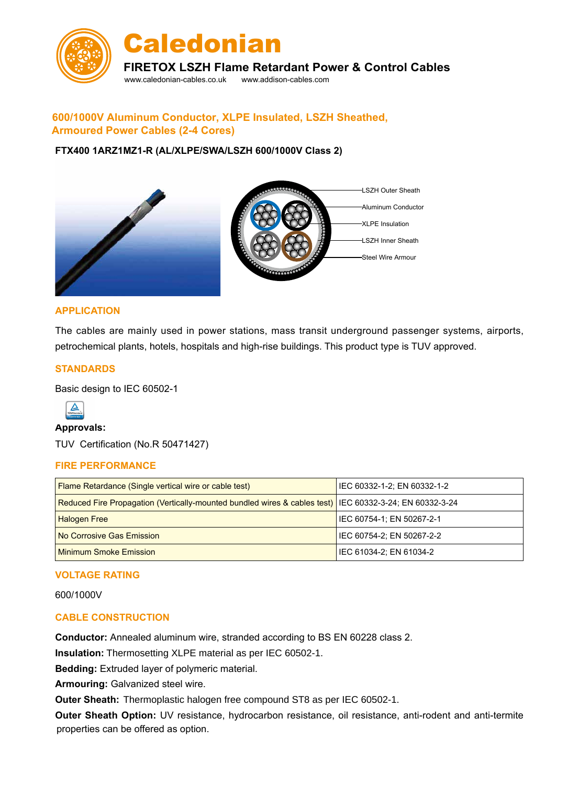

# **600/1000V Aluminum Conductor, XLPE Insulated, LSZH Sheathed, Armoured Power Cables (2-4 Cores)**

### **FTX400 1ARZ1MZ1-R (AL/XLPE/SWA/LSZH 600/1000V Class 2)**



### **APPLICATION**

The cables are mainly used in power stations, mass transit underground passenger systems, airports, petrochemical plants, hotels, hospitals and high-rise buildings. This product type is TUV approved.

#### **STANDARDS**

Basic design to IEC 60502-1



#### **Approvals:**

TUV Certification (No.R 50471427)

#### **FIRE PERFORMANCE**

| <b>Flame Retardance (Single vertical wire or cable test)</b>                                            | IEC 60332-1-2; EN 60332-1-2 |
|---------------------------------------------------------------------------------------------------------|-----------------------------|
| Reduced Fire Propagation (Vertically-mounted bundled wires & cables test) IEC 60332-3-24; EN 60332-3-24 |                             |
| <b>Halogen Free</b>                                                                                     | IEC 60754-1: EN 50267-2-1   |
| No Corrosive Gas Emission                                                                               | IEC 60754-2; EN 50267-2-2   |
| <b>Minimum Smoke Emission</b>                                                                           | IEC 61034-2; EN 61034-2     |

#### **VOLTAGE RATING**

600/1000V

### **CABLE CONSTRUCTION**

**Conductor:** Annealed aluminum wire, stranded according to BS EN 60228 class 2.

**Insulation:** Thermosetting XLPE material as per IEC 60502-1.

**Bedding:** Extruded layer of polymeric material.

**Armouring:** Galvanized steel wire.

Outer Sheath: Thermoplastic halogen free compound ST8 as per IEC 60502-1.

**Outer Sheath Option:** UV resistance, hydrocarbon resistance, oil resistance, anti-rodent and anti-termite properties can be offered as option.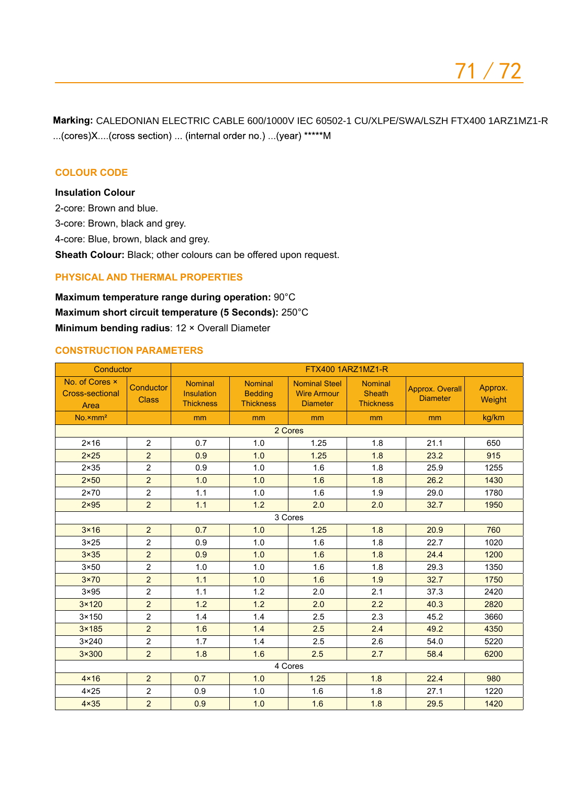CALEDONIAN ELECTRIC CABLE 600/1000V IEC 60502-1 CU/XLPE/SWA/LSZH FTX400 1ARZ1MZ1-R...(cores)X....(cross section) ... (internal order no.) ...(year) \*\*\*\*\*M

## **COLOUR CODE**

# **Insulation Colour**

2-core: Brown and blue.

3-core: Brown, black and grey.

4-core: Blue, brown, black and grey.

**Sheath Colour:** Black; other colours can be offered upon request.

### **Physical AND THERMAL PROPERTIES**

**Maximum temperature range during operation:** 90°C **Maximum short circuit temperature (5 Seconds):** 250°C **Minimum bending radius**: 12 × Overall Diameter

#### **CONSTRUCTION PARAMETERS**

| Conductor                                        |                           | FTX400 1ARZ1MZ1-R                                       |                                                      |                                                               |                                                     |                                           |                   |  |  |
|--------------------------------------------------|---------------------------|---------------------------------------------------------|------------------------------------------------------|---------------------------------------------------------------|-----------------------------------------------------|-------------------------------------------|-------------------|--|--|
| No. of Cores x<br><b>Cross-sectional</b><br>Area | Conductor<br><b>Class</b> | <b>Nominal</b><br><b>Insulation</b><br><b>Thickness</b> | <b>Nominal</b><br><b>Bedding</b><br><b>Thickness</b> | <b>Nominal Steel</b><br><b>Wire Armour</b><br><b>Diameter</b> | <b>Nominal</b><br><b>Sheath</b><br><b>Thickness</b> | <b>Approx. Overall</b><br><b>Diameter</b> | Approx.<br>Weight |  |  |
| $No. \times mm2$                                 |                           | mm                                                      | mm                                                   | mm                                                            | mm                                                  | mm                                        | kg/km             |  |  |
|                                                  | 2 Cores                   |                                                         |                                                      |                                                               |                                                     |                                           |                   |  |  |
| $2 \times 16$                                    | $\overline{2}$            | 0.7                                                     | 1.0                                                  | 1.25                                                          | 1.8                                                 | 21.1                                      | 650               |  |  |
| $2 \times 25$                                    | $\overline{2}$            | 0.9                                                     | 1.0                                                  | 1.25                                                          | 1.8                                                 | 23.2                                      | 915               |  |  |
| $2 \times 35$                                    | $\overline{2}$            | 0.9                                                     | 1.0                                                  | 1.6                                                           | 1.8                                                 | 25.9                                      | 1255              |  |  |
| $2\times50$                                      | $\overline{2}$            | 1.0                                                     | 1.0                                                  | 1.6                                                           | 1.8                                                 | 26.2                                      | 1430              |  |  |
| $2 \times 70$                                    | $\overline{2}$            | 1.1                                                     | 1.0                                                  | 1.6                                                           | 1.9                                                 | 29.0                                      | 1780              |  |  |
| $2 \times 95$                                    | $\overline{2}$            | 1.1                                                     | 1.2                                                  | 2.0                                                           | 2.0                                                 | 32.7                                      | 1950              |  |  |
|                                                  |                           |                                                         |                                                      | 3 Cores                                                       |                                                     |                                           |                   |  |  |
| $3 \times 16$                                    | $\overline{2}$            | 0.7                                                     | 1.0                                                  | 1.25                                                          | 1.8                                                 | 20.9                                      | 760               |  |  |
| $3 \times 25$                                    | $\overline{2}$            | 0.9                                                     | 1.0                                                  | 1.6                                                           | 1.8                                                 | 22.7                                      | 1020              |  |  |
| $3\times35$                                      | $\overline{2}$            | 0.9                                                     | 1.0                                                  | 1.6                                                           | 1.8                                                 | 24.4                                      | 1200              |  |  |
| $3 \times 50$                                    | $\overline{2}$            | 1.0                                                     | 1.0                                                  | 1.6                                                           | 1.8                                                 | 29.3                                      | 1350              |  |  |
| $3 \times 70$                                    | $\overline{2}$            | 1.1                                                     | 1.0                                                  | 1.6                                                           | 1.9                                                 | 32.7                                      | 1750              |  |  |
| $3 \times 95$                                    | $\overline{2}$            | 1.1                                                     | 1.2                                                  | 2.0                                                           | 2.1                                                 | 37.3                                      | 2420              |  |  |
| $3 \times 120$                                   | $\overline{2}$            | 1.2                                                     | 1.2                                                  | 2.0                                                           | 2.2                                                 | 40.3                                      | 2820              |  |  |
| $3 \times 150$                                   | $\overline{2}$            | 1.4                                                     | 1.4                                                  | 2.5                                                           | 2.3                                                 | 45.2                                      | 3660              |  |  |
| $3 \times 185$                                   | 2                         | 1.6                                                     | 1.4                                                  | 2.5                                                           | 2.4                                                 | 49.2                                      | 4350              |  |  |
| $3 \times 240$                                   | $\overline{2}$            | 1.7                                                     | 1.4                                                  | 2.5                                                           | 2.6                                                 | 54.0                                      | 5220              |  |  |
| $3\times300$                                     | $\overline{2}$            | 1.8                                                     | 1.6                                                  | 2.5                                                           | 2.7                                                 | 58.4                                      | 6200              |  |  |
| 4 Cores                                          |                           |                                                         |                                                      |                                                               |                                                     |                                           |                   |  |  |
| $4 \times 16$                                    | $\overline{2}$            | 0.7                                                     | 1.0                                                  | 1.25                                                          | 1.8                                                 | 22.4                                      | 980               |  |  |
| $4 \times 25$                                    | $\overline{2}$            | 0.9                                                     | 1.0                                                  | 1.6                                                           | 1.8                                                 | 27.1                                      | 1220              |  |  |
| $4 \times 35$                                    | $\overline{2}$            | 0.9                                                     | 1.0                                                  | 1.6                                                           | 1.8                                                 | 29.5                                      | 1420              |  |  |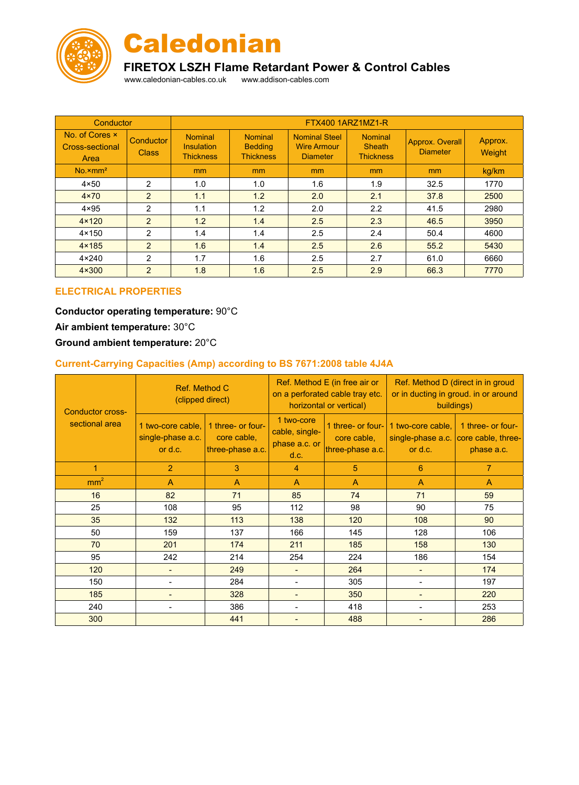



# **FIRETOX LSZH Flame Retardant Power & Control Cables**

www.caledonian-cables.co.uk www.addison-cables.com

| Conductor                                 |                           | FTX400 1ARZ1MZ1-R                                       |                                                      |                                                               |                                                     |                                    |                   |
|-------------------------------------------|---------------------------|---------------------------------------------------------|------------------------------------------------------|---------------------------------------------------------------|-----------------------------------------------------|------------------------------------|-------------------|
| No. of Cores x<br>Cross-sectional<br>Area | Conductor<br><b>Class</b> | <b>Nominal</b><br><b>Insulation</b><br><b>Thickness</b> | <b>Nominal</b><br><b>Bedding</b><br><b>Thickness</b> | <b>Nominal Steel</b><br><b>Wire Armour</b><br><b>Diameter</b> | <b>Nominal</b><br><b>Sheath</b><br><b>Thickness</b> | Approx. Overall<br><b>Diameter</b> | Approx.<br>Weight |
| $No. \times mm2$                          |                           | mm                                                      | m <sub>m</sub>                                       | <sub>mm</sub>                                                 | <sub>mm</sub>                                       | mm                                 | kg/km             |
| $4 \times 50$                             | 2                         | 1.0                                                     | 1.0                                                  | 1.6                                                           | 1.9                                                 | 32.5                               | 1770              |
| $4 \times 70$                             | $\overline{2}$            | 1.1                                                     | 1.2                                                  | 2.0                                                           | 2.1                                                 | 37.8                               | 2500              |
| $4 \times 95$                             | 2                         | 1.1                                                     | 1.2                                                  | 2.0                                                           | 2.2                                                 | 41.5                               | 2980              |
| $4 \times 120$                            | $\overline{2}$            | 1.2                                                     | 1.4                                                  | 2.5                                                           | 2.3                                                 | 46.5                               | 3950              |
| $4 \times 150$                            | 2                         | 1.4                                                     | 1.4                                                  | 2.5                                                           | 2.4                                                 | 50.4                               | 4600              |
| $4 \times 185$                            | $\mathfrak{p}$            | 1.6                                                     | 1.4                                                  | 2.5                                                           | 2.6                                                 | 55.2                               | 5430              |
| $4 \times 240$                            | $\overline{2}$            | 1.7                                                     | 1.6                                                  | 2.5                                                           | 2.7                                                 | 61.0                               | 6660              |
| $4 \times 300$                            | $\overline{2}$            | 1.8                                                     | 1.6                                                  | 2.5                                                           | 2.9                                                 | 66.3                               | 7770              |

### **Electrical PROPERTIES**

# **Conductor operating temperature:** 90°C **Air ambient temperature:** 30°C

# **Ground ambient temperature:** 20°C

# **Current-Carrying Capacities (Amp) according to BS 7671:2008 table 4J4A**

| Conductor cross-<br>sectional area | Ref. Method C<br>(clipped direct)                 |                                                      |                                                       | Ref. Method E (in free air or<br>on a perforated cable tray etc.<br>horizontal or vertical) | Ref. Method D (direct in in groud<br>or in ducting in groud. in or around<br>buildings) |                                                                         |  |
|------------------------------------|---------------------------------------------------|------------------------------------------------------|-------------------------------------------------------|---------------------------------------------------------------------------------------------|-----------------------------------------------------------------------------------------|-------------------------------------------------------------------------|--|
|                                    | 1 two-core cable,<br>single-phase a.c.<br>or d.c. | 1 three- or four-<br>core cable,<br>three-phase a.c. | 1 two-core<br>cable, single-<br>phase a.c. or<br>d.c. | 1 three- or four-<br>core cable,<br>three-phase a.c.                                        | 1 two-core cable,<br>or d.c.                                                            | 1 three- or four-<br>single-phase a.c. core cable, three-<br>phase a.c. |  |
| 1                                  | $\overline{2}$                                    | 3                                                    | 4                                                     | 5                                                                                           | 6                                                                                       | $\overline{7}$                                                          |  |
| mm <sup>2</sup>                    | $\overline{A}$                                    | $\mathsf{A}$                                         | A                                                     | $\mathsf{A}$                                                                                | $\overline{A}$                                                                          | A                                                                       |  |
| 16                                 | 82                                                | 71                                                   | 85                                                    | 74                                                                                          | 71                                                                                      | 59                                                                      |  |
| 25                                 | 108                                               | 95                                                   | 112                                                   | 98                                                                                          | 90                                                                                      | 75                                                                      |  |
| 35                                 | 132                                               | 113                                                  | 138                                                   | 120                                                                                         | 108                                                                                     | 90                                                                      |  |
| 50                                 | 159                                               | 137                                                  | 166                                                   | 145                                                                                         | 128                                                                                     | 106                                                                     |  |
| 70                                 | 201                                               | 174                                                  | 211                                                   | 185                                                                                         | 158                                                                                     | 130                                                                     |  |
| 95                                 | 242                                               | 214                                                  | 254                                                   | 224                                                                                         | 186                                                                                     | 154                                                                     |  |
| 120                                | -                                                 | 249                                                  | $\overline{a}$                                        | 264                                                                                         | $\qquad \qquad \blacksquare$                                                            | 174                                                                     |  |
| 150                                | -                                                 | 284                                                  | $\blacksquare$                                        | 305                                                                                         | $\blacksquare$                                                                          | 197                                                                     |  |
| 185                                | -                                                 | 328                                                  | $\blacksquare$                                        | 350                                                                                         | $\overline{\phantom{0}}$                                                                | 220                                                                     |  |
| 240                                |                                                   | 386                                                  |                                                       | 418                                                                                         |                                                                                         | 253                                                                     |  |
| 300                                |                                                   | 441                                                  | $\overline{\phantom{0}}$                              | 488                                                                                         |                                                                                         | 286                                                                     |  |